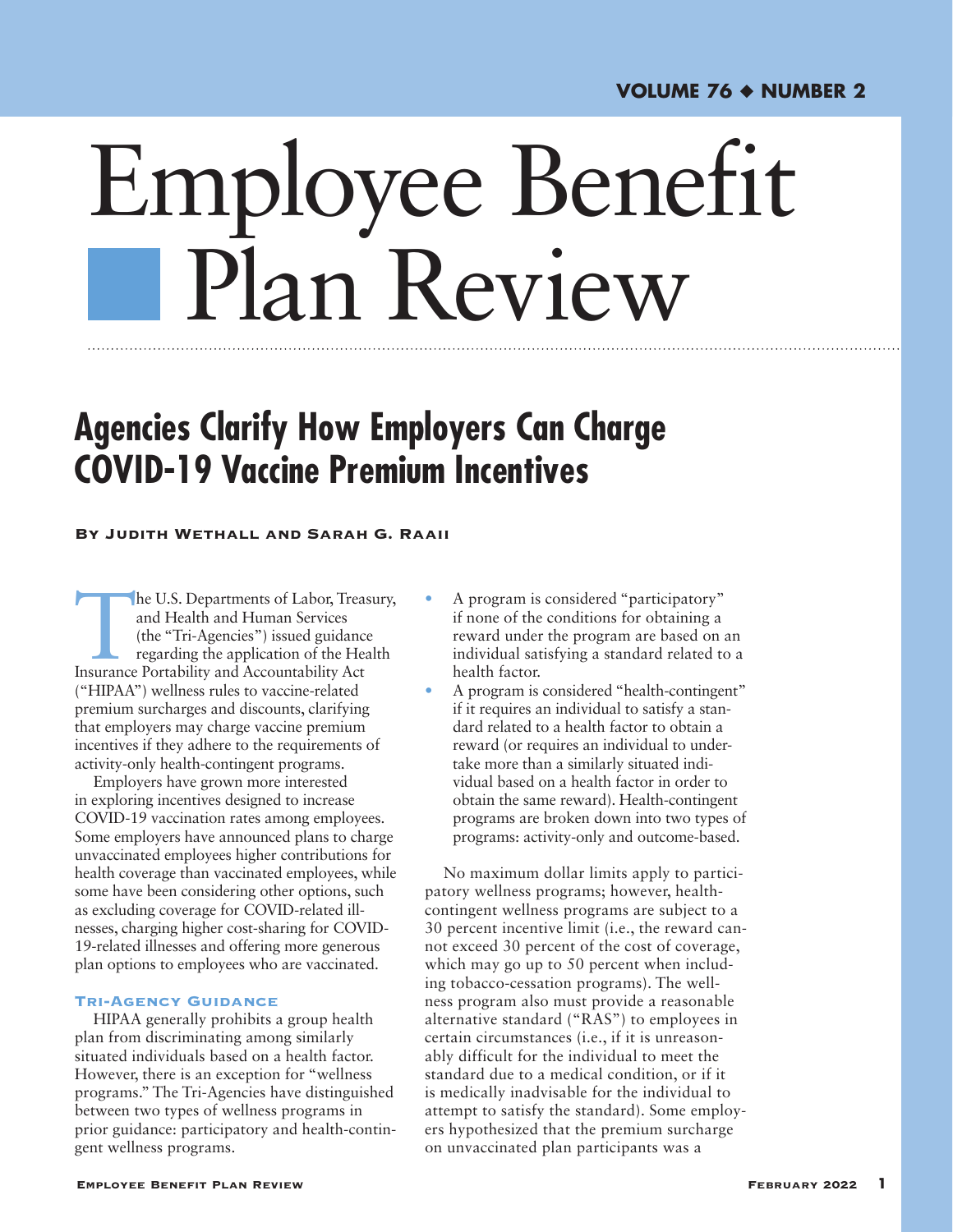# Employee Benefit Plan Review

# **Agencies Clarify How Employers Can Charge COVID-19 Vaccine Premium Incentives**

### By Judith Wethall and Sarah G. Raaii

he U.S. Departments of Labor, Treasury, and Health and Human Services (the "Tri-Agencies") issued guidance regarding the application of the Health Insurance Portability and Accountability Act ("HIPAA") wellness rules to vaccine-related premium surcharges and discounts, clarifying that employers may charge vaccine premium incentives if they adhere to the requirements of activity-only health-contingent programs.

Employers have grown more interested in exploring incentives designed to increase COVID-19 vaccination rates among employees. Some employers have announced plans to charge unvaccinated employees higher contributions for health coverage than vaccinated employees, while some have been considering other options, such as excluding coverage for COVID-related illnesses, charging higher cost-sharing for COVID-19-related illnesses and offering more generous plan options to employees who are vaccinated.

# Tri-Agency Guidance

HIPAA generally prohibits a group health plan from discriminating among similarly situated individuals based on a health factor. However, there is an exception for "wellness programs." The Tri-Agencies have distinguished between two types of wellness programs in prior guidance: participatory and health-contingent wellness programs.

- A program is considered "participatory" if none of the conditions for obtaining a reward under the program are based on an individual satisfying a standard related to a health factor.
- A program is considered "health-contingent" if it requires an individual to satisfy a standard related to a health factor to obtain a reward (or requires an individual to undertake more than a similarly situated individual based on a health factor in order to obtain the same reward). Health-contingent programs are broken down into two types of programs: activity-only and outcome-based.

No maximum dollar limits apply to participatory wellness programs; however, healthcontingent wellness programs are subject to a 30 percent incentive limit (i.e., the reward cannot exceed 30 percent of the cost of coverage, which may go up to 50 percent when including tobacco-cessation programs). The wellness program also must provide a reasonable alternative standard ("RAS") to employees in certain circumstances (i.e., if it is unreasonably difficult for the individual to meet the standard due to a medical condition, or if it is medically inadvisable for the individual to attempt to satisfy the standard). Some employers hypothesized that the premium surcharge on unvaccinated plan participants was a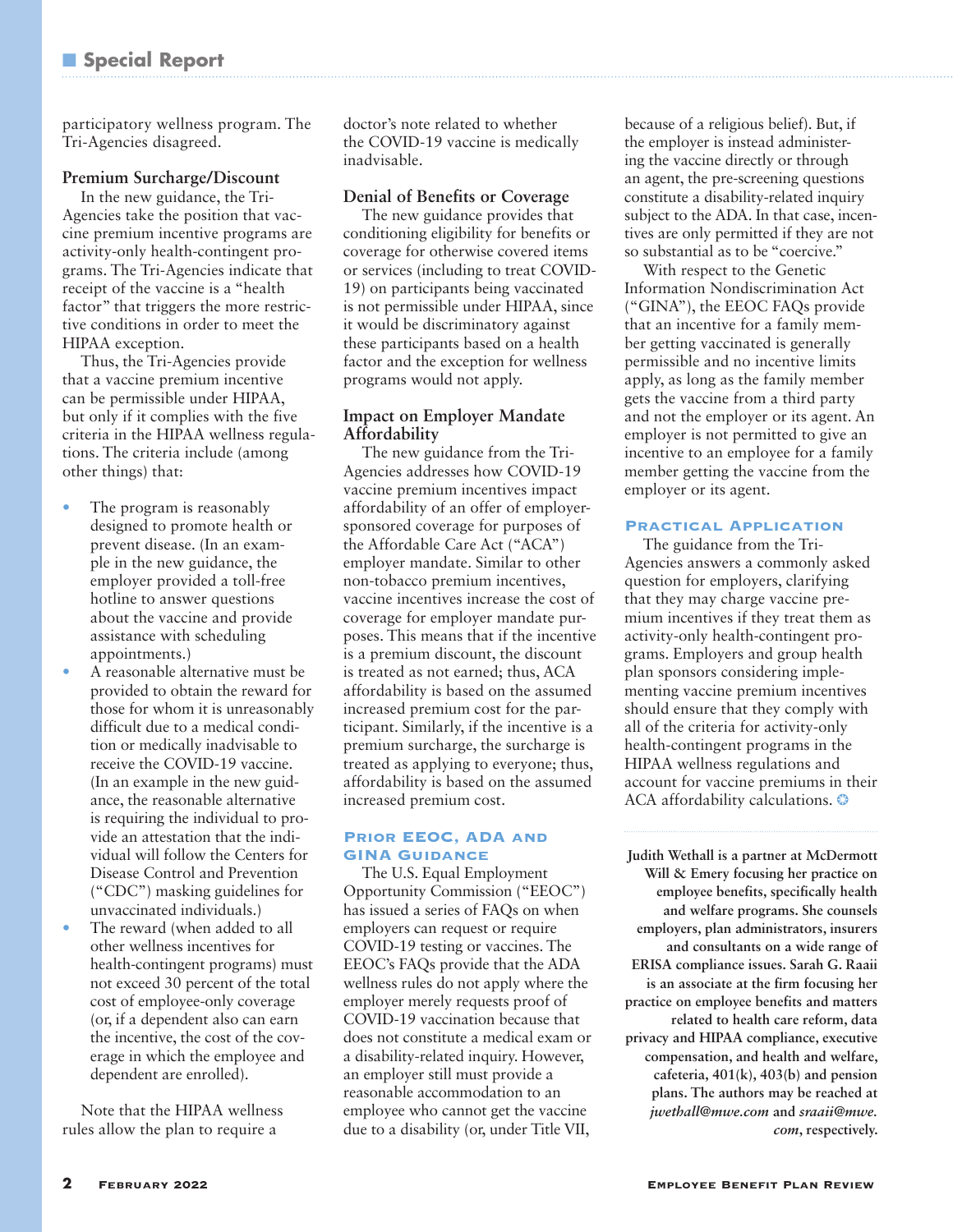participatory wellness program. The Tri-Agencies disagreed.

# **Premium Surcharge/Discount**

In the new guidance, the Tri-Agencies take the position that vaccine premium incentive programs are activity-only health-contingent programs. The Tri-Agencies indicate that receipt of the vaccine is a "health factor" that triggers the more restrictive conditions in order to meet the HIPAA exception.

Thus, the Tri-Agencies provide that a vaccine premium incentive can be permissible under HIPAA, but only if it complies with the five criteria in the HIPAA wellness regulations. The criteria include (among other things) that:

- The program is reasonably designed to promote health or prevent disease. (In an example in the new guidance, the employer provided a toll-free hotline to answer questions about the vaccine and provide assistance with scheduling appointments.)
- A reasonable alternative must be provided to obtain the reward for those for whom it is unreasonably difficult due to a medical condition or medically inadvisable to receive the COVID-19 vaccine. (In an example in the new guidance, the reasonable alternative is requiring the individual to provide an attestation that the individual will follow the Centers for Disease Control and Prevention ("CDC") masking guidelines for unvaccinated individuals.)
- The reward (when added to all other wellness incentives for health-contingent programs) must not exceed 30 percent of the total cost of employee-only coverage (or, if a dependent also can earn the incentive, the cost of the coverage in which the employee and dependent are enrolled).

Note that the HIPAA wellness rules allow the plan to require a

doctor's note related to whether the COVID-19 vaccine is medically inadvisable.

# **Denial of Benefits or Coverage**

The new guidance provides that conditioning eligibility for benefits or coverage for otherwise covered items or services (including to treat COVID-19) on participants being vaccinated is not permissible under HIPAA, since it would be discriminatory against these participants based on a health factor and the exception for wellness programs would not apply.

# **Impact on Employer Mandate Affordability**

The new guidance from the Tri-Agencies addresses how COVID-19 vaccine premium incentives impact affordability of an offer of employersponsored coverage for purposes of the Affordable Care Act ("ACA") employer mandate. Similar to other non-tobacco premium incentives, vaccine incentives increase the cost of coverage for employer mandate purposes. This means that if the incentive is a premium discount, the discount is treated as not earned; thus, ACA affordability is based on the assumed increased premium cost for the participant. Similarly, if the incentive is a premium surcharge, the surcharge is treated as applying to everyone; thus, affordability is based on the assumed increased premium cost.

# Prior EEOC, ADA and **GINA GUIDANCE**

The U.S. Equal Employment Opportunity Commission ("EEOC") has issued a series of FAQs on when employers can request or require COVID-19 testing or vaccines. The EEOC's FAQs provide that the ADA wellness rules do not apply where the employer merely requests proof of COVID-19 vaccination because that does not constitute a medical exam or a disability-related inquiry. However, an employer still must provide a reasonable accommodation to an employee who cannot get the vaccine due to a disability (or, under Title VII,

because of a religious belief). But, if the employer is instead administering the vaccine directly or through an agent, the pre-screening questions constitute a disability-related inquiry subject to the ADA. In that case, incentives are only permitted if they are not so substantial as to be "coercive."

With respect to the Genetic Information Nondiscrimination Act ("GINA"), the EEOC FAQs provide that an incentive for a family member getting vaccinated is generally permissible and no incentive limits apply, as long as the family member gets the vaccine from a third party and not the employer or its agent. An employer is not permitted to give an incentive to an employee for a family member getting the vaccine from the employer or its agent.

### Practical Application

The guidance from the Tri-Agencies answers a commonly asked question for employers, clarifying that they may charge vaccine premium incentives if they treat them as activity-only health-contingent programs. Employers and group health plan sponsors considering implementing vaccine premium incentives should ensure that they comply with all of the criteria for activity-only health-contingent programs in the HIPAA wellness regulations and account for vaccine premiums in their ACA affordability calculations. ❂

**Judith Wethall is a partner at McDermott Will & Emery focusing her practice on employee benefits, specifically health and welfare programs. She counsels employers, plan administrators, insurers and consultants on a wide range of ERISA compliance issues. Sarah G. Raaii is an associate at the firm focusing her practice on employee benefits and matters related to health care reform, data privacy and HIPAA compliance, executive compensation, and health and welfare, cafeteria, 401(k), 403(b) and pension plans. The authors may be reached at**  *[jwethall@mwe.com](mailto:jwethall@mwe.com)* **and** *[sraaii@mwe.](mailto:sraaii@mwe.com) [com](mailto:sraaii@mwe.com)***, respectively.**